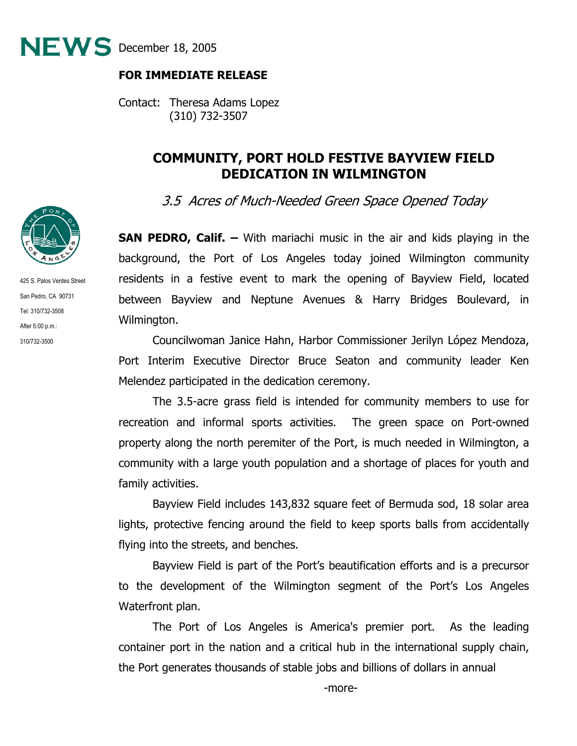

## **FOR IMMEDIATE RELEASE**

Contact: Theresa Adams Lopez (310) 732-3507

## **COMMUNITY, PORT HOLD FESTIVE BAYVIEW FIELD DEDICATION IN WILMINGTON**

3.5 Acres of Much-Needed Green Space Opened Today

**SAN PEDRO, Calif. –** With mariachi music in the air and kids playing in the background, the Port of Los Angeles today joined Wilmington community residents in a festive event to mark the opening of Bayview Field, located between Bayview and Neptune Avenues & Harry Bridges Boulevard, in Wilmington.

 Councilwoman Janice Hahn, Harbor Commissioner Jerilyn López Mendoza, Port Interim Executive Director Bruce Seaton and community leader Ken Melendez participated in the dedication ceremony.

The 3.5-acre grass field is intended for community members to use for recreation and informal sports activities. The green space on Port-owned property along the north peremiter of the Port, is much needed in Wilmington, a community with a large youth population and a shortage of places for youth and family activities.

Bayview Field includes 143,832 square feet of Bermuda sod, 18 solar area lights, protective fencing around the field to keep sports balls from accidentally flying into the streets, and benches.

Bayview Field is part of the Port's beautification efforts and is a precursor to the development of the Wilmington segment of the Port's Los Angeles Waterfront plan.

The Port of Los Angeles is America's premier port. As the leading container port in the nation and a critical hub in the international supply chain, the Port generates thousands of stable jobs and billions of dollars in annual



425 S. Palos Verdes Street San Pedro, CA 90731 Tel: 310/732-3508 After 5:00 p.m.: 310/732-3500